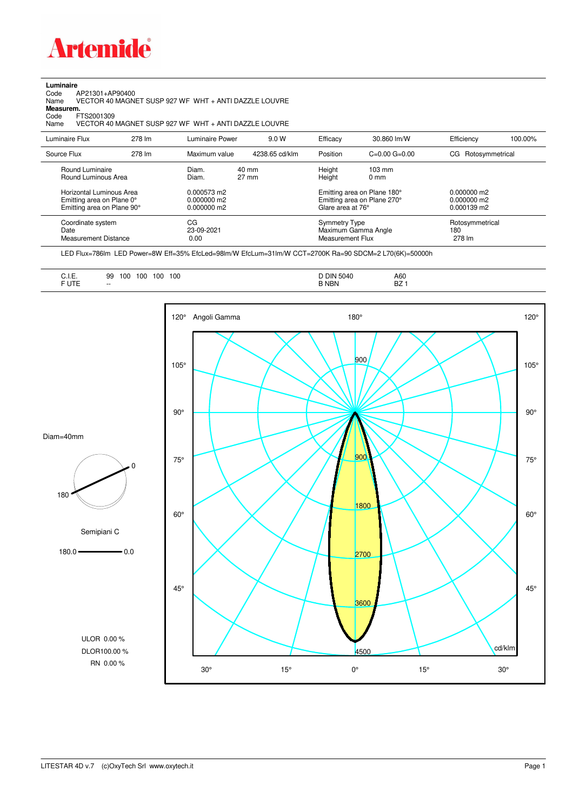

## **Luminaire**

Code AP21301+AP90400 Name VECTOR 40 MAGNET SUSP 927 WF WHT + ANTI DAZZLE LOUVRE Code A<br>Name V<br>**Measurem.** 

Code FTS2001309<br>Name VECTOR 40 Name VECTOR 40 MAGNET SUSP 927 WF WHT + ANTI DAZZLE LOUVRE

| Luminaire Flux                                                                                                                | 278 lm | Luminaire Power                                                 | 9.0 W                    | Efficacy                                 | 30.860 lm/W                                                                                      | Efficiency                                             | 100.00% |
|-------------------------------------------------------------------------------------------------------------------------------|--------|-----------------------------------------------------------------|--------------------------|------------------------------------------|--------------------------------------------------------------------------------------------------|--------------------------------------------------------|---------|
| Source Flux                                                                                                                   | 278 lm | Maximum value                                                   | 4238.65 cd/klm           | Position                                 | $C=0.00$ $G=0.00$                                                                                | CG Rotosymmetrical                                     |         |
| Round Luminaire<br>Round Luminous Area<br>Horizontal Luminous Area<br>Emitting area on Plane 0°<br>Emitting area on Plane 90° |        | Diam.<br>Diam.<br>0.000573 m2<br>$0.000000$ m2<br>$0.000000$ m2 | 40 mm<br>$27 \text{ mm}$ | Height<br>Height<br>Glare area at 76°    | $103 \text{ mm}$<br>$0 \text{ mm}$<br>Emitting area on Plane 180°<br>Emitting area on Plane 270° | $0.000000$ m2<br>$0.000000$ m2<br>$0.000139 \text{ m}$ |         |
| Coordinate system<br>Date<br><b>Measurement Distance</b>                                                                      |        | CG<br>23-09-2021<br>0.00                                        |                          | <b>Symmetry Type</b><br>Measurement Flux | Maximum Gamma Angle                                                                              | Rotosymmetrical<br>180<br>278 lm                       |         |

LED Flux=786lm LED Power=8W Eff=35% EfcLed=98lm/W EfcLum=31lm/W CCT=2700K Ra=90 SDCM=2 L70(6K)=50000h